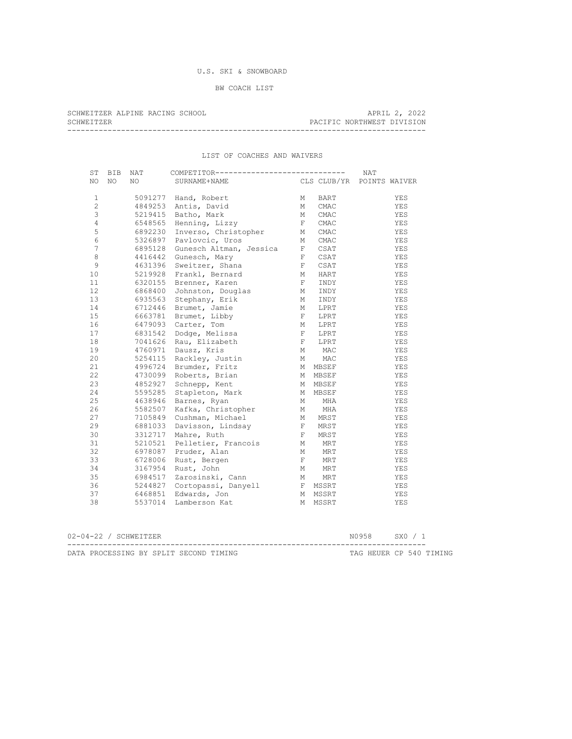# U.S. SKI & SNOWBOARD

BW COACH LIST

| SCHWEITZER ALPINE RACING SCHOOL |  |  |  | APRIL 2, 2022              |  |
|---------------------------------|--|--|--|----------------------------|--|
| SCHWEITZER                      |  |  |  | PACIFIC NORTHWEST DIVISION |  |
|                                 |  |  |  |                            |  |

## LIST OF COACHES AND WAIVERS

| ST             | BIB | NAT     | COMPETITOR----------------------------- |                |         | <b>NAT</b>                |
|----------------|-----|---------|-----------------------------------------|----------------|---------|---------------------------|
| NO             | NO. | NO.     | SURNAME+NAME                            |                |         | CLS CLUB/YR POINTS WAIVER |
|                |     |         |                                         |                |         |                           |
| $\mathbf{1}$   |     |         | 5091277 Hand, Robert                    | М              | BART    | YES                       |
| $\overline{c}$ |     | 4849253 | Antis, David                            | М              | CMAC    | YES                       |
| 3              |     | 5219415 | Batho, Mark                             | М              | CMAC    | YES                       |
| $\overline{4}$ |     | 6548565 | Henning, Lizzy                          | F              | CMAC    | YES                       |
| 5              |     | 6892230 | Inverso, Christopher                    | М              | CMAC    | YES                       |
| 6              |     | 5326897 | Pavlovcic, Uros                         | М              | CMAC    | YES                       |
| $\overline{7}$ |     | 6895128 | Gunesch Altman, Jessica                 | $\mathbb{F}^-$ | CSAT    | YES                       |
| 8              |     | 4416442 | Gunesch, Mary                           | $\mathbb{F}^-$ | CSAT    | YES                       |
| 9              |     | 4631396 | Sweitzer, Shana                         | $\mathbb{F}^-$ | CSAT    | YES                       |
| 10             |     | 5219928 | Frankl, Bernard                         | М              | HART    | YES                       |
| 11             |     | 6320155 | Brenner, Karen                          | $\mathbf{F}^-$ | INDY    | YES                       |
| 12             |     | 6868400 | Johnston, Douglas                       | М              | INDY    | YES                       |
| 13             |     | 6935563 | Stephany, Erik                          | М              | INDY    | YES                       |
| 14             |     | 6712446 | Brumet, Jamie                           | М              | LPRT    | YES                       |
| 15             |     | 6663781 | Brumet, Libby                           | $\mathbb{F}^-$ | LPRT    | YES                       |
| 16             |     | 6479093 | Carter, Tom                             | М              | LPRT    | YES                       |
| 17             |     | 6831542 | Dodge, Melissa                          | $\mathbb F$    | LPRT    | YES                       |
| 18             |     | 7041626 | Rau, Elizabeth                          | $\mathbb{F}$ . | LPRT    | YES                       |
| 19             |     | 4760971 | Dausz, Kris                             | М              | MAC     | YES                       |
| 20             |     | 5254115 | Rackley, Justin                         | M              | MAC     | YES                       |
| 21             |     | 4996724 | Brumder, Fritz                          |                | M MBSEF | YES                       |
| 22             |     | 4730099 | Roberts, Brian                          |                | M MBSEF | YES                       |
| 23             |     | 4852927 | Schnepp, Kent                           |                | M MBSEF | YES                       |
| 24             |     | 5595285 | Stapleton, Mark                         |                | M MBSEF | YES                       |
| 25             |     | 4638946 | Barnes, Ryan                            | М              | MHA     | YES                       |
| 26             |     | 5582507 | Kafka, Christopher                      | М              | MHA     | YES                       |
| 27             |     | 7105849 | Cushman, Michael                        | М              | MRST    | YES                       |
| 29             |     | 6881033 | Davisson, Lindsay                       | $\mathbb F$    | MRST    | YES                       |
| 30             |     | 3312717 | Mahre, Ruth                             | $\mathbf{F}^-$ | MRST    | YES                       |
| 31             |     | 5210521 | Pelletier, Francois                     | М              | MRT     | YES                       |
| 32             |     | 6978087 | Pruder, Alan                            | М              | MRT     | YES                       |
| 33             |     | 6728006 | Rust, Bergen                            | $\mathbb F$    | MRT     | YES                       |
| 34             |     | 3167954 | Rust, John                              | М              | MRT     | YES                       |
| 35             |     | 6984517 | Zarosinski, Cann                        | M              | MRT     | YES                       |
| 36             |     | 5244827 | Cortopassi, Danyell                     |                | F MSSRT | YES                       |
| 37             |     | 6468851 | Edwards, Jon                            |                | M MSSRT | YES                       |
| 38             |     | 5537014 | Lamberson Kat                           |                | M MSSRT | YES                       |
|                |     |         |                                         |                |         |                           |

| 02-04-22 / SCHWEITZER |  |  |                                        |  | N0958 SX0 / 1 |  |                         |
|-----------------------|--|--|----------------------------------------|--|---------------|--|-------------------------|
|                       |  |  | DATA PROCESSING BY SPLIT SECOND TIMING |  |               |  | TAG HEUER CP 540 TIMING |